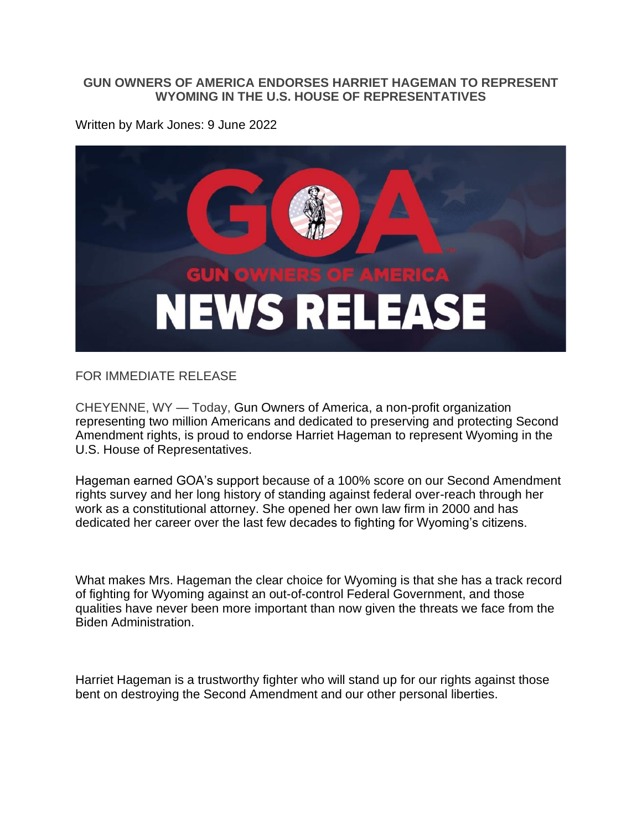## **GUN OWNERS OF AMERICA ENDORSES HARRIET HAGEMAN TO REPRESENT WYOMING IN THE U.S. HOUSE OF REPRESENTATIVES**

Written by Mark Jones: 9 June 2022



FOR IMMEDIATE RELEASE

CHEYENNE, WY — Today, Gun Owners of America, a non-profit organization representing two million Americans and dedicated to preserving and protecting Second Amendment rights, is proud to endorse Harriet Hageman to represent Wyoming in the U.S. House of Representatives.

Hageman earned GOA's support because of a 100% score on our Second Amendment rights survey and her long history of standing against federal over-reach through her work as a constitutional attorney. She opened her own law firm in 2000 and has dedicated her career over the last few decades to fighting for Wyoming's citizens.

What makes Mrs. Hageman the clear choice for Wyoming is that she has a track record of fighting for Wyoming against an out-of-control Federal Government, and those qualities have never been more important than now given the threats we face from the Biden Administration.

Harriet Hageman is a trustworthy fighter who will stand up for our rights against those bent on destroying the Second Amendment and our other personal liberties.